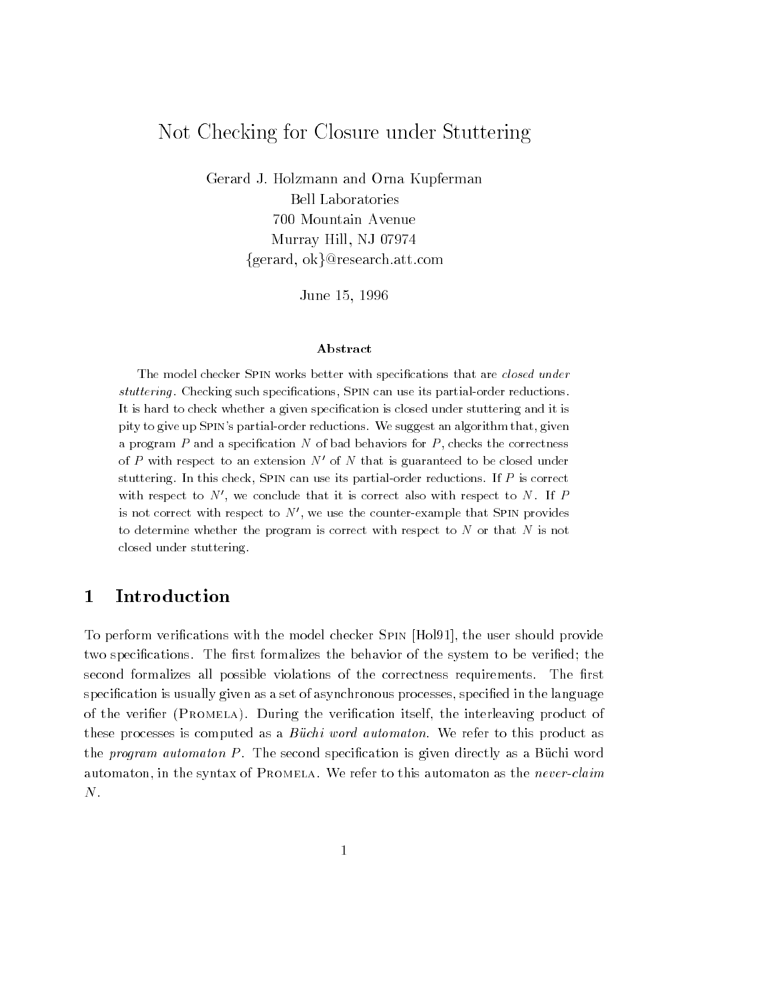# Not Checking for Closure under Stuttering

Gerard J. Holzmann and Orna Kupferman Bell Laboratories 700 Mountain Avenue Murray Hill, NJ 07974  ${gerard, ok}@research.att.com$ 

June 15, 1996

#### Abstract

The model checker SPIN works better with specifications that are closed under stuttering . Checking such specications, Spin can use its partial-order reductions. It is hard to check whether a given specication is closed under stuttering and it is pity to give up Spin's partial-order reductions. We suggest an algorithm that, given a program  $P$  and a specification  $N$  of bad behaviors for  $P$ , checks the correctness of P with respect to an extension  $N'$  of N that is guaranteed to be closed under stuttering. In this check, SPIN can use its partial-order reductions. If  $P$  is correct with respect to  $N'$ , we conclude that it is correct also with respect to N. If P is not correct with respect to  $N'$ , we use the counter-example that SPIN provides to determine whether the program is correct with respect to  $N$  or that  $N$  is not closed under stuttering.

## 1 Introduction

To perform verications with the model checker Spin [Hol91], the user should provide two specifications. The first formalizes the behavior of the system to be verified; the second formalizes all possible violations of the correctness requirements. The first specification is usually given as a set of asynchronous processes, specified in the language of the verifier (PROMELA). During the verification itself, the interleaving product of these processes is computed as a *Buchi word automaton*. We refer to this product as the *program automaton P*. The second specification is given directly as a Buchi word automaton, in the syntax of PROMELA. We refer to this automaton as the never-claim  $\,N_{\cdot}$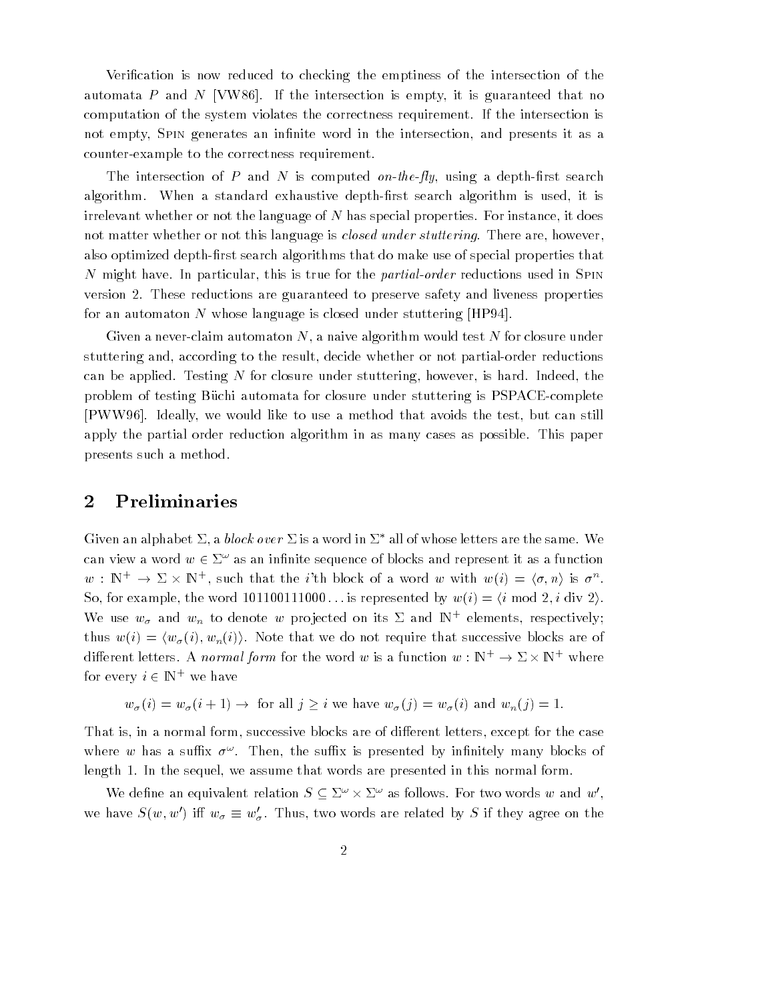Verication is now reduced to checking the emptiness of the intersection of the automata P and N [VW86]. If the intersection is empty, it is guaranteed that no computation of the system violates the correctness requirement. If the intersection is not empty, SPIN generates an infinite word in the intersection, and presents it as a counter-example to the correctness requirement.

The intersection of P and N is computed on-the-fly, using a depth-first search algorithm. When a standard exhaustive depth-first search algorithm is used, it is irrelevant whether or not the language of  $N$  has special properties. For instance, it does not matter whether or not this language is *closed under stuttering*. There are, however, also optimized depth-first search algorithms that do make use of special properties that N might have. In particular, this is true for the *partial-order* reductions used in SPIN version 2. These reductions are guaranteed to preserve safety and liveness properties for an automaton N whose language is closed under stuttering [HP94].

Given a never-claim automaton  $N$ , a naive algorithm would test  $N$  for closure under stuttering and, according to the result, decide whether or not partial-order reductions can be applied. Testing N for closure under stuttering, however, is hard. Indeed, the problem of testing Buchi automata for closure under stuttering is PSPACE-complete [PWW96]. Ideally, we would like to use a method that avoids the test, but can still apply the partial order reduction algorithm in as many cases as possible. This paper presents such a method.

#### 2 Preliminaries

Given an alphabet  $\Sigma$ , a *block over*  $\Sigma$  is a word in  $\Sigma^*$  all of whose letters are the same. We can view a word  $w \in \Sigma^{\omega}$  as an infinite sequence of blocks and represent it as a function  $w : \mathbb{N}^+ \to \Sigma \times \mathbb{N}^+$ , such that the *i*'th block of a word w with  $w(i) = \langle \sigma, n \rangle$  is  $\sigma^n$ . So, for example, the word  $101100111000...$  is represented by  $w(i) = \langle i \text{ mod } 2, i \text{ div } 2 \rangle$ . We use  $w_{\sigma}$  and  $w_n$  to denote w projected on its  $\varSigma$  and IN+ elements, respectively; thus  $w(i) = \langle w_{\sigma}(i), w_{n}(i) \rangle$ . Note that we do not require that successive blocks are of different letters. A *normal form* for the word w is a function  $w:\mathbb{N}^+\to\Sigma\times\mathbb{N}^+$  where for every  $i \in \mathbb{N}^+$  we have

$$
w_{\sigma}(i) = w_{\sigma}(i+1) \rightarrow
$$
 for all  $j \geq i$  we have  $w_{\sigma}(j) = w_{\sigma}(i)$  and  $w_n(j) = 1$ .

That is, in a normal form, successive blocks are of different letters, except for the case where  $w$  has a sumx  $\sigma^*$ . Then, the sumx is presented by infinitely many blocks of length 1. In the sequel, we assume that words are presented in this normal form.

We define an equivalent relation  $S \subseteq \Sigma^{\omega} \times \Sigma^{\omega}$  as follows. For two words w and w', we have  $S(w, w')$  iff  $w_{\sigma} \equiv w'_{\sigma}$ . Thus, two words are related by S if they agree on the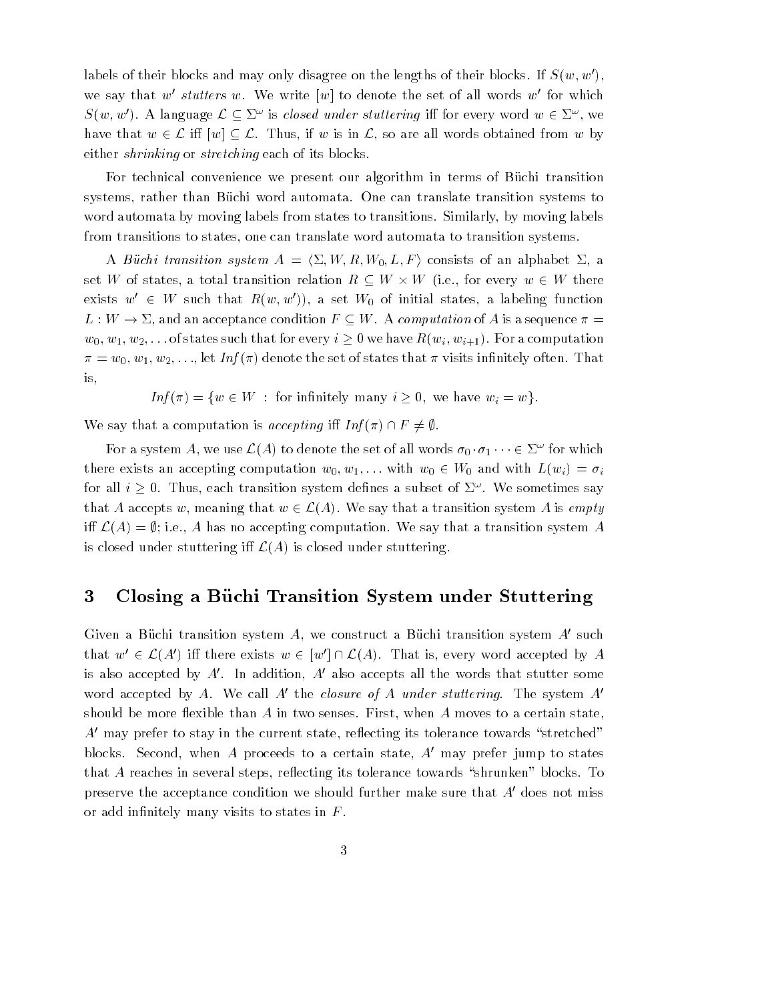labels of their blocks and may only disagree on the lengths of their blocks. If  $S(w, w')$ , we say that  $w$  *stutters w*. We write  $|w|$  to denote the set of all words  $w$  for which rabels of their blocks and may on<br>we say that w' stutters w. We v<br> $S(w, w')$ . A language  $\mathcal{L} \subset \Sigma^{\omega}$  is is closed under stuttering iff for every word  $w \in \Sigma^{\omega}$ , we we say that w *statters* w. We write [w] to denote the set of an words w for which  $S(w, w')$ . A language  $\mathcal{L} \subseteq \Sigma^{\omega}$  is *closed under stuttering* iff for every word  $w \in \Sigma^{\omega}$ , we have that  $w \in \mathcal{L}$  iff  $[w] \subseteq \mathcal{L}$ either *shrinking* or *stretching* each of its blocks.

For technical convenience we present our algorithm in terms of Buchi transition systems, rather than Buchi word automata. One can translate transition systems to word automata by moving labels from states to transitions. Similarly, by moving labels from transitions to states, one can translate word automata to transition systems.

A Büchi transition system  $A = \langle \Sigma, W, R, W_0, L, F \rangle$  consists of an alphabet  $\Sigma$ , a set W of states, a total transition relation  $R \subseteq W \times W$  (i.e., for every  $w \in W$  there exists  $w' \in W$  such that  $R(w, w')$ , a set  $W_0$  of initial states, a labeling function  $L: W \to \Sigma$ , and an acceptance condition  $F \subseteq W$ . A computation of A is a sequence  $\pi =$  $w_0, w_1, w_2,...$  of states such that for every  $i \geq 0$  we have  $R(w_i, w_{i+1})$ . For a computation  $\pi = w_0, w_1, w_2, \ldots$ , let  $Inf(\pi)$  denote the set of states that  $\pi$  visits infinitely often. That is,

 $Inf(\pi) = \{w \in W : \text{ for infinitely many } i \geq 0, \text{ we have } w_i = w\}.$ 

We say that a computation is *accepting* iff  $Inf(\pi) \cap F \neq \emptyset$ .

For a system A, we use  $\mathcal{L}(A)$  to denote the set of all words  $\sigma_0 \cdot \sigma_1 \cdots \in \Sigma^\omega$  for which there exists an accepting computation  $w_0, w_1, \ldots$  with  $w_0 \in W_0$  and with  $L(w_i) = \sigma_i$ for all  $i > 0$ . Thus, each transition system defines a subset of  $\Sigma^{\omega}$ . We sometimes say there exists an accepting computation  $w_0, w_1, ...$  with  $w_0 \in W_0$  and with  $L(w_i) = o_i$ <br>for all  $i \ge 0$ . Thus, each transition system defines a subset of  $\Sigma^{\omega}$ . We sometimes say<br>that A accepts w, meaning that  $w \in \mathcal{L}(A)$ iff  $\mathcal{L}(A) = \emptyset$ ; i.e., A has no accepting computation. We say that a transition system A is closed under stuttering iff  $\mathcal{L}(A)$  is closed under stuttering.

## 3 Closing a Büchi Transition System under Stuttering

Given a Büchi transition system  $A$ , we construct a Büchi transition system  $A'$  such that  $w' \in \mathcal{L}(A')$  iff there exists  $w \in [w'] \cap \mathcal{L}(A)$ . That is, every word accepted by A is also accepted by  $A'$ . In addition,  $A'$  also accepts all the words that stutter some word accepted by A. We call  $A'$  the *closure of A under stuttering*. The system  $A'$ should be more flexible than  $A$  in two senses. First, when  $A$  moves to a certain state,  $A'$  may prefer to stay in the current state, reflecting its tolerance towards "stretched" blocks. Second, when A proceeds to a certain state,  $A'$  may prefer jump to states that A reaches in several steps, reflecting its tolerance towards "shrunken" blocks. To preserve the acceptance condition we should further make sure that  $A'$  does not miss or add infinitely many visits to states in  $F$ .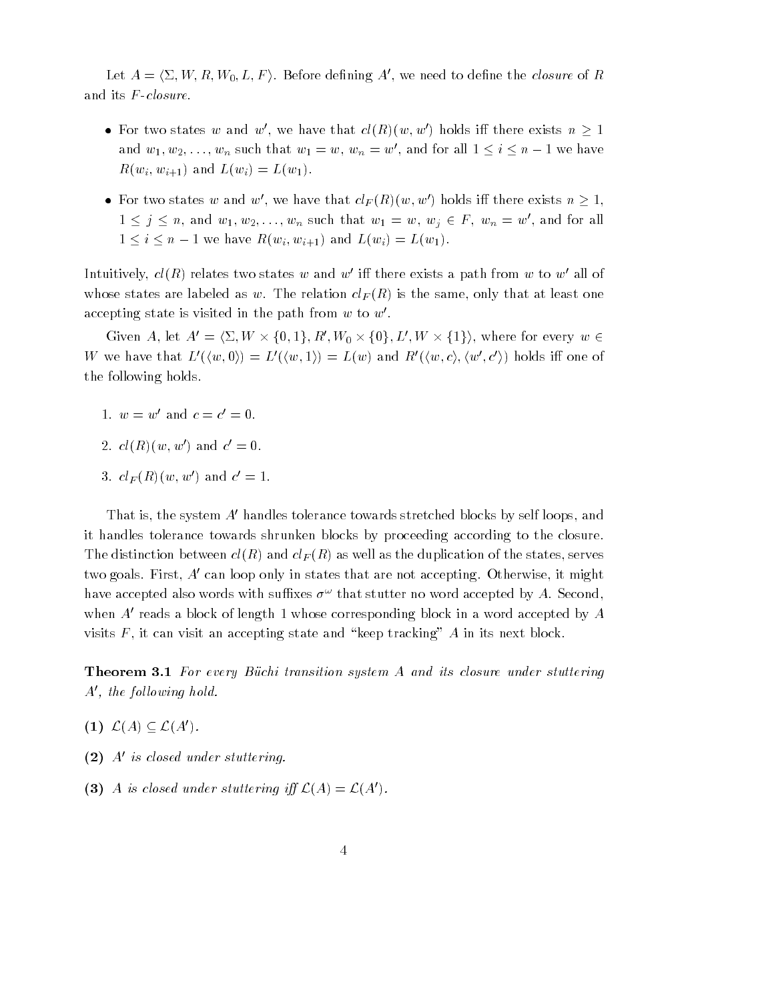Let  $A = \langle \Sigma, W, R, W_0, L, F \rangle$ . Before defining A', we need to define the *closure* of R and its F-closure.

- For two states w and w', we have that  $cl(R)(w, w')$  holds iff there exists  $n > 1$ and  $w_1, w_2, \ldots, w_n$  such that  $w_1 = w, w_n = w'$ , and for all  $1 \le i \le n - 1$  we have  $R(w_i, w_{i+1})$  and  $L(w_i) = L(w_1)$ .
- For two states w and w', we have that  $cl_F(R)(w, w')$  holds iff there exists  $n \geq 1$ ,  $1 \leq j \leq n$ , and  $w_1, w_2, \ldots, w_n$  such that  $w_1 = w, w_j \in F$ ,  $w_n = w'$ , and for all  $1 \le i \le n - 1$  we have  $R(w_i, w_{i+1})$  and  $L(w_i) = L(w_1)$ .

Intuitively,  $cl(R)$  relates two states w and w' iff there exists a path from w to w' all of whose states are labeled as w. The relation  $cl_F(R)$  is the same, only that at least one accepting state is visited in the path from  $w$  to  $w'$ . epting state is visited in the path from w to w'.<br>Given A, let  $A' = \langle \Sigma, W \times \{0,1\}, R', W_0 \times \{0\}, L', W \times \{1\} \rangle$ , where for every  $w \in$ 

W we have that  $L'(\langle w, 0 \rangle) = L'(\langle w, 1 \rangle) = L(w)$  and  $R'(\langle w, c \rangle, \langle w', c' \rangle)$  holds iff one of the following holds.

- 1.  $w = w$  and  $c = c = 0$ .
- $2.$   $Cl(R)/W, W$  and  $C = 0$ .
- $\sigma$ .  $\alpha_F(n)(w, w)$  and  $c = 1$ .

That is, the system  $A'$  handles tolerance towards stretched blocks by self loops, and it handles tolerance towards shrunken blocks by proceeding according to the closure. The distinction between  $cl(R)$  and  $cl_F(R)$  as well as the duplication of the states, serves two goals. First,  $A'$  can loop only in states that are not accepting. Otherwise, it might nave accepted also words with sumxes  $\sigma^+$  that stutter no word accepted by  $A$ . Second, when  $A'$  reads a block of length 1 whose corresponding block in a word accepted by  $A$ visits  $F$ , it can visit an accepting state and "keep tracking" A in its next block.

**Theorem 3.1** For every Büchi transition system A and its closure under stuttering  $A'$ , the following hold.

- (1)  $\mathcal{L}(A) \subset \mathcal{L}(A')$ .
- (2)  $A'$  is closed under stuttering.
- (3) A is closed under stuttering iff  $\mathcal{L}(A) = \mathcal{L}(A')$ .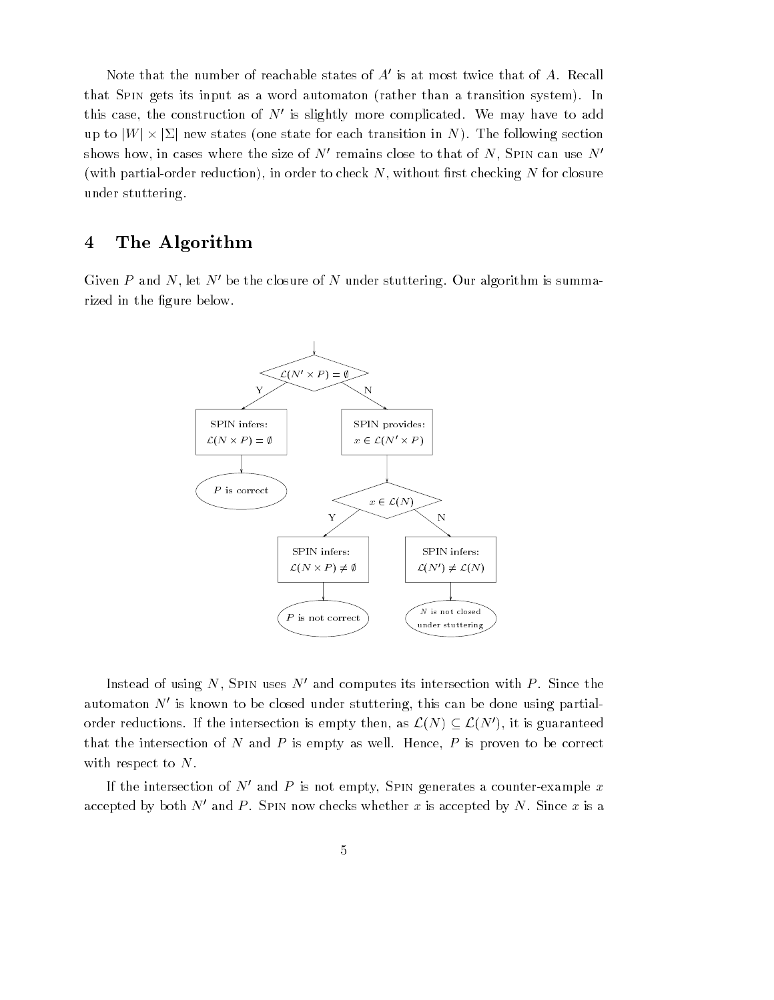Note that the number of reachable states of  $A'$  is at most twice that of  $A$ . Recall that Spin gets its input as a word automaton (rather than a transition system). In this case, the construction of  $N'$  is slightly more complicated. We may have to add up to  $|W| \times |\Sigma|$  new states (one state for each transition in N). The following section shows how, in cases where the size of  $N'$  remains close to that of N, SPIN can use  $N'$ (with partial-order reduction), in order to check  $N$ , without first checking  $N$  for closure under stuttering.

## 4 The Algorithm

Given P and N, let N' be the closure of N under stuttering. Our algorithm is summarized in the figure below.



Instead of using  $N$ , SPIN uses  $N'$  and computes its intersection with  $P$ . Since the automaton N<sup>0</sup> is known to be closed under stuttering, this can be done using partialinstead of using  $N$ , SPIN uses  $N$  and computes its intersection with  $\Gamma$ . Since the<br>automaton  $N'$  is known to be closed under stuttering, this can be done using partial-<br>order reductions. If the intersection is empty that the intersection of  $N$  and  $P$  is empty as well. Hence,  $P$  is proven to be correct with respect to N.

If the intersection of N' and P is not empty, SPIN generates a counter-example x accepted by both  $N'$  and P. Spin now checks whether x is accepted by N. Since x is a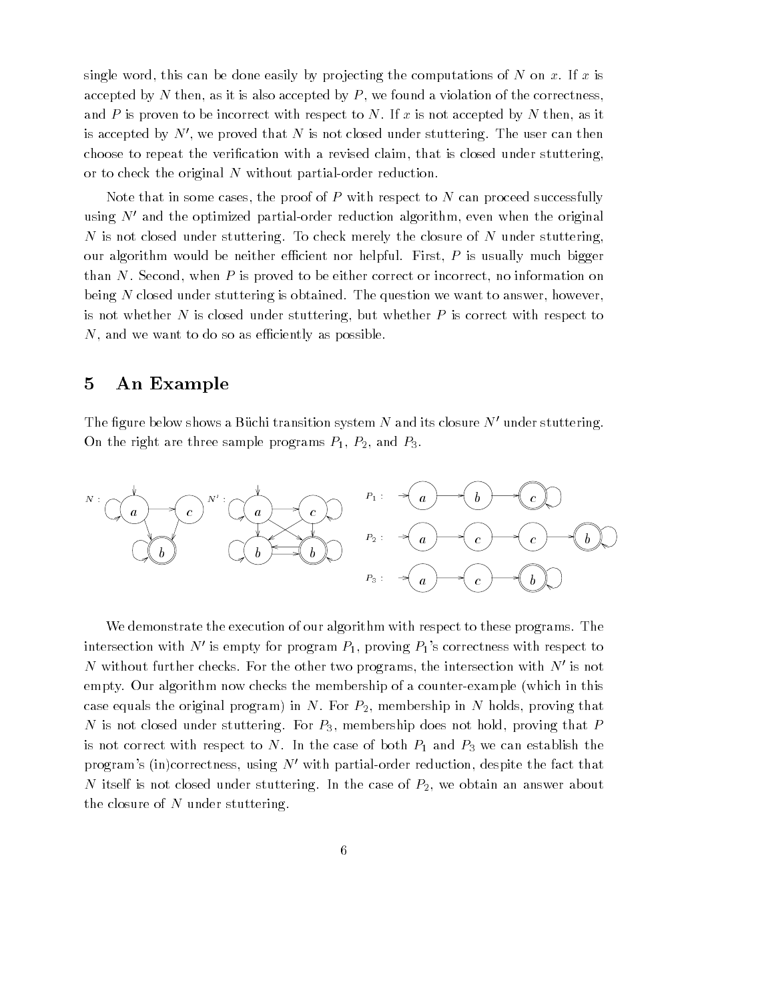single word, this can be done easily by projecting the computations of N on x. If x is accepted by N then, as it is also accepted by  $P$ , we found a violation of the correctness. and P is proven to be incorrect with respect to N. If x is not accepted by N then, as it is accepted by  $N'$ , we proved that N is not closed under stuttering. The user can then choose to repeat the verification with a revised claim, that is closed under stuttering, or to check the original N without partial-order reduction.

Note that in some cases, the proof of  $P$  with respect to  $N$  can proceed successfully using  $N'$  and the optimized partial-order reduction algorithm, even when the original N is not closed under stuttering. To check merely the closure of N under stuttering, our algorithm would be neither efficient nor helpful. First,  $P$  is usually much bigger than  $N$ . Second, when  $P$  is proved to be either correct or incorrect, no information on being N closed under stuttering is obtained. The question we want to answer, however, is not whether  $N$  is closed under stuttering, but whether  $P$  is correct with respect to N, and we want to do so as efficiently as possible.

#### 5 An Example

The figure below shows a Büchi transition system  $N$  and its closure  $N'$  under stuttering. On the right are three sample programs  $P_1, P_2,$  and  $P_3.$ 



We demonstrate the execution of our algorithm with respect to these programs. The intersection with N' is empty for program  $P_1$ , proving  $P_1$ 's correctness with respect to N without further checks. For the other two programs, the intersection with  $N'$  is not empty. Our algorithm now checks the membership of a counter-example (which in this case equals the original program) in N. For  $P_2$ , membership in N holds, proving that N is not closed under stuttering. For  $P_3$ , membership does not hold, proving that P is not correct with respect to N. In the case of both  $P_1$  and  $P_3$  we can establish the program's (in)correctness, using  $N'$  with partial-order reduction, despite the fact that N itself is not closed under stuttering. In the case of  $P_2$ , we obtain an answer about the closure of  $N$  under stuttering.